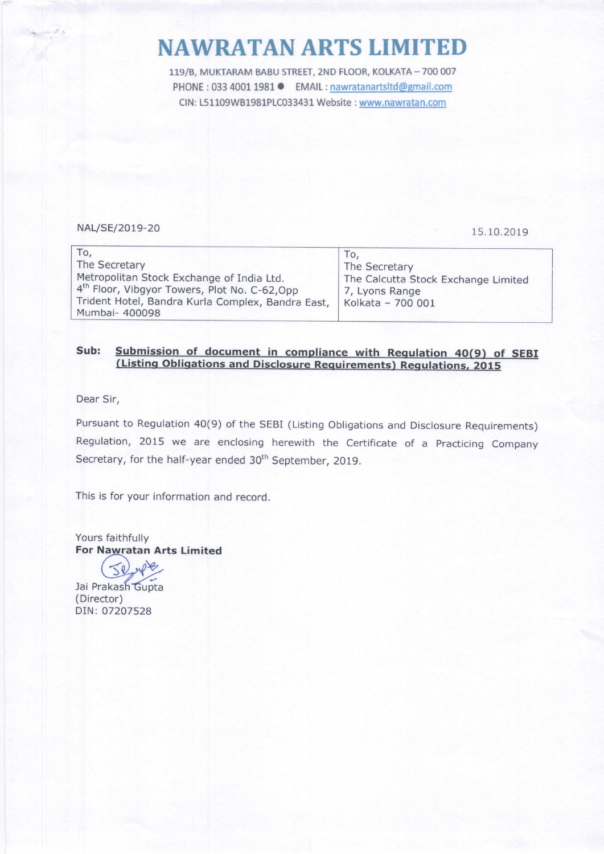## NAWRATANARTS LIMITED

119/B, MUKTARAM BABU STREET, 2ND FLOOR, KOLKATA - 700 007 PHONE : 033 4001 1981 <br> **EMAIL : nawratanartsltd@gmail.com** CIN: 151109W81981P1C033431 Website : www.nawratan.com

## NAL/SE/2019-20 15.10.2019

| To.<br>The Secretary<br>Metropolitan Stock Exchange of India Ltd.<br>4 <sup>th</sup> Floor, Vibgyor Towers, Plot No. C-62, Opp<br>Trident Hotel, Bandra Kurla Complex, Bandra East,   Kolkata - 700 001<br>Mumbai- 400098 | 10.<br>The Secretary<br>The Calcutta Stock Exchange Limited<br>7, Lyons Range |
|---------------------------------------------------------------------------------------------------------------------------------------------------------------------------------------------------------------------------|-------------------------------------------------------------------------------|
|---------------------------------------------------------------------------------------------------------------------------------------------------------------------------------------------------------------------------|-------------------------------------------------------------------------------|

## Sub: Submission of document in compliance with Regulation 40(9) of SEBI<br>(Listing Obligations and Disclosure Requirements) Regulations, 2015

Dear Sir,

Pursuant to Regulation 40(9) of the SEBI (Listing Obligations and Disclosure Requirements) Regulation,2015 we are enclosing herewith the Certificate of a Practicing Company Secretary, for the half-year ended 30<sup>th</sup> September, 2019.

This is for your information and record.

Yours faithfully For Nawratan Arts Limited

 $\leq$ e Jai Prakash Gupta

( Director) DIN: 07207528